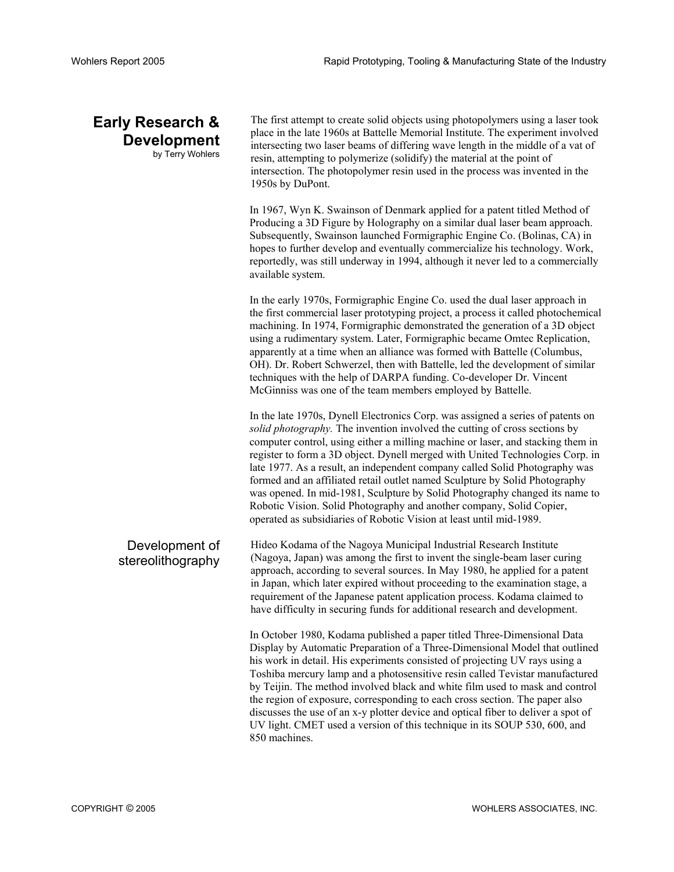## **Early Research & Development**  by Terry Wohlers

The first attempt to create solid objects using photopolymers using a laser took place in the late 1960s at Battelle Memorial Institute. The experiment involved intersecting two laser beams of differing wave length in the middle of a vat of resin, attempting to polymerize (solidify) the material at the point of intersection. The photopolymer resin used in the process was invented in the 1950s by DuPont.

In 1967, Wyn K. Swainson of Denmark applied for a patent titled Method of Producing a 3D Figure by Holography on a similar dual laser beam approach. Subsequently, Swainson launched Formigraphic Engine Co. (Bolinas, CA) in hopes to further develop and eventually commercialize his technology. Work, reportedly, was still underway in 1994, although it never led to a commercially available system.

In the early 1970s, Formigraphic Engine Co. used the dual laser approach in the first commercial laser prototyping project, a process it called photochemical machining. In 1974, Formigraphic demonstrated the generation of a 3D object using a rudimentary system. Later, Formigraphic became Omtec Replication, apparently at a time when an alliance was formed with Battelle (Columbus, OH). Dr. Robert Schwerzel, then with Battelle, led the development of similar techniques with the help of DARPA funding. Co-developer Dr. Vincent McGinniss was one of the team members employed by Battelle.

In the late 1970s, Dynell Electronics Corp. was assigned a series of patents on *solid photography.* The invention involved the cutting of cross sections by computer control, using either a milling machine or laser, and stacking them in register to form a 3D object. Dynell merged with United Technologies Corp. in late 1977. As a result, an independent company called Solid Photography was formed and an affiliated retail outlet named Sculpture by Solid Photography was opened. In mid-1981, Sculpture by Solid Photography changed its name to Robotic Vision. Solid Photography and another company, Solid Copier, operated as subsidiaries of Robotic Vision at least until mid-1989.

Development of stereolithography Hideo Kodama of the Nagoya Municipal Industrial Research Institute (Nagoya, Japan) was among the first to invent the single-beam laser curing approach, according to several sources. In May 1980, he applied for a patent in Japan, which later expired without proceeding to the examination stage, a requirement of the Japanese patent application process. Kodama claimed to have difficulty in securing funds for additional research and development.

> In October 1980, Kodama published a paper titled Three-Dimensional Data Display by Automatic Preparation of a Three-Dimensional Model that outlined his work in detail. His experiments consisted of projecting UV rays using a Toshiba mercury lamp and a photosensitive resin called Tevistar manufactured by Teijin. The method involved black and white film used to mask and control the region of exposure, corresponding to each cross section. The paper also discusses the use of an x-y plotter device and optical fiber to deliver a spot of UV light. CMET used a version of this technique in its SOUP 530, 600, and 850 machines.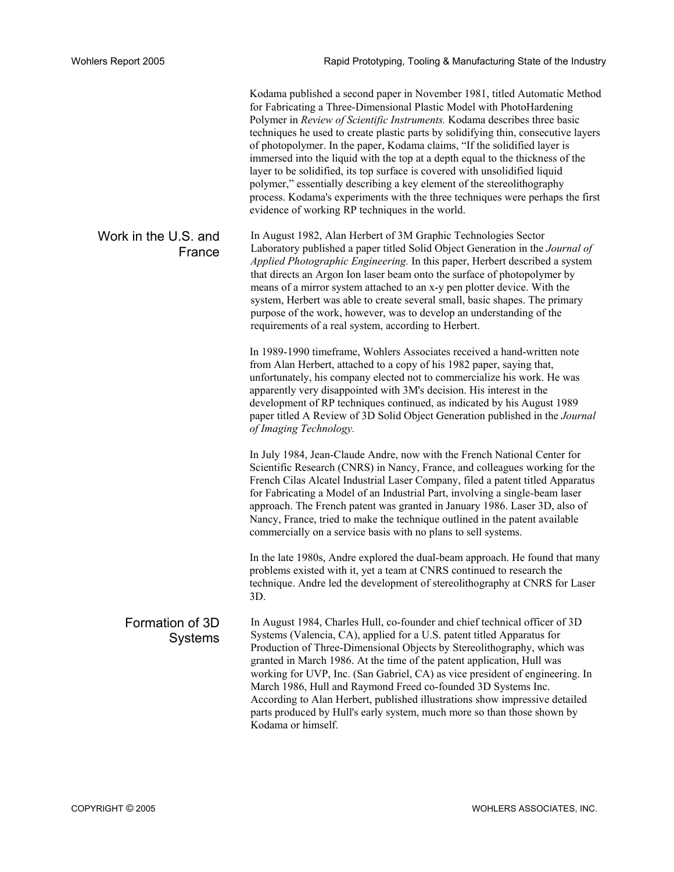Kodama published a second paper in November 1981, titled Automatic Method for Fabricating a Three-Dimensional Plastic Model with PhotoHardening Polymer in *Review of Scientific Instruments.* Kodama describes three basic techniques he used to create plastic parts by solidifying thin, consecutive layers of photopolymer. In the paper, Kodama claims, "If the solidified layer is immersed into the liquid with the top at a depth equal to the thickness of the layer to be solidified, its top surface is covered with unsolidified liquid polymer," essentially describing a key element of the stereolithography process. Kodama's experiments with the three techniques were perhaps the first evidence of working RP techniques in the world.

Work in the U.S. and France In August 1982, Alan Herbert of 3M Graphic Technologies Sector Laboratory published a paper titled Solid Object Generation in the *Journal of Applied Photographic Engineering.* In this paper, Herbert described a system that directs an Argon Ion laser beam onto the surface of photopolymer by means of a mirror system attached to an x-y pen plotter device. With the system, Herbert was able to create several small, basic shapes. The primary purpose of the work, however, was to develop an understanding of the requirements of a real system, according to Herbert.

> In 1989-1990 timeframe, Wohlers Associates received a hand-written note from Alan Herbert, attached to a copy of his 1982 paper, saying that, unfortunately, his company elected not to commercialize his work. He was apparently very disappointed with 3M's decision. His interest in the development of RP techniques continued, as indicated by his August 1989 paper titled A Review of 3D Solid Object Generation published in the *Journal of Imaging Technology.*

> In July 1984, Jean-Claude Andre, now with the French National Center for Scientific Research (CNRS) in Nancy, France, and colleagues working for the French Cilas Alcatel Industrial Laser Company, filed a patent titled Apparatus for Fabricating a Model of an Industrial Part, involving a single-beam laser approach. The French patent was granted in January 1986. Laser 3D, also of Nancy, France, tried to make the technique outlined in the patent available commercially on a service basis with no plans to sell systems.

In the late 1980s, Andre explored the dual-beam approach. He found that many problems existed with it, yet a team at CNRS continued to research the technique. Andre led the development of stereolithography at CNRS for Laser 3D.

Formation of 3D Systems In August 1984, Charles Hull, co-founder and chief technical officer of 3D Systems (Valencia, CA), applied for a U.S. patent titled Apparatus for Production of Three-Dimensional Objects by Stereolithography, which was granted in March 1986. At the time of the patent application, Hull was working for UVP, Inc. (San Gabriel, CA) as vice president of engineering. In March 1986, Hull and Raymond Freed co-founded 3D Systems Inc. According to Alan Herbert, published illustrations show impressive detailed parts produced by Hull's early system, much more so than those shown by Kodama or himself.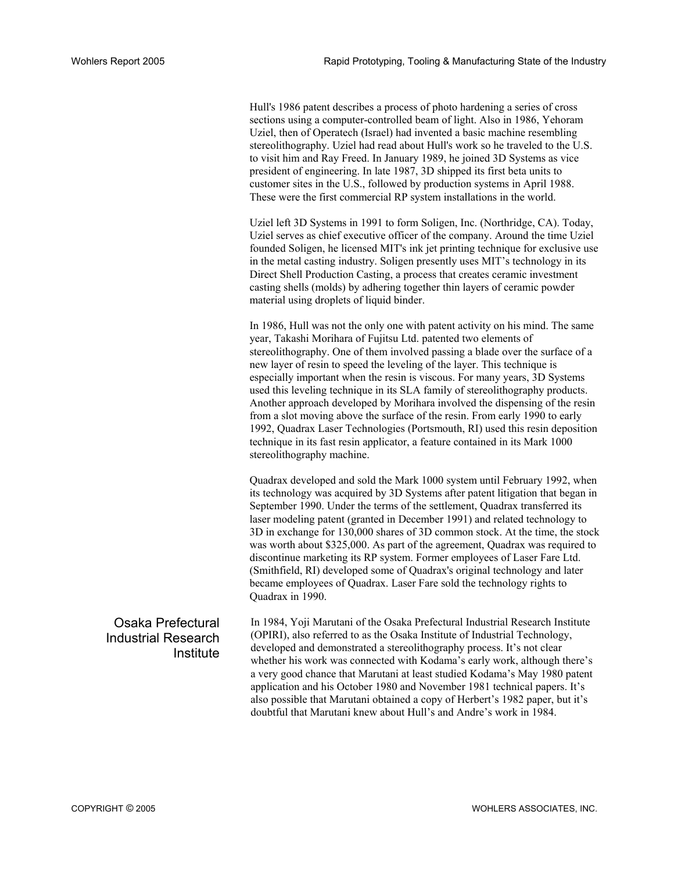Hull's 1986 patent describes a process of photo hardening a series of cross sections using a computer-controlled beam of light. Also in 1986, Yehoram Uziel, then of Operatech (Israel) had invented a basic machine resembling stereolithography. Uziel had read about Hull's work so he traveled to the U.S. to visit him and Ray Freed. In January 1989, he joined 3D Systems as vice president of engineering. In late 1987, 3D shipped its first beta units to customer sites in the U.S., followed by production systems in April 1988. These were the first commercial RP system installations in the world.

Uziel left 3D Systems in 1991 to form Soligen, Inc. (Northridge, CA). Today, Uziel serves as chief executive officer of the company. Around the time Uziel founded Soligen, he licensed MIT's ink jet printing technique for exclusive use in the metal casting industry. Soligen presently uses MIT's technology in its Direct Shell Production Casting, a process that creates ceramic investment casting shells (molds) by adhering together thin layers of ceramic powder material using droplets of liquid binder.

In 1986, Hull was not the only one with patent activity on his mind. The same year, Takashi Morihara of Fujitsu Ltd. patented two elements of stereolithography. One of them involved passing a blade over the surface of a new layer of resin to speed the leveling of the layer. This technique is especially important when the resin is viscous. For many years, 3D Systems used this leveling technique in its SLA family of stereolithography products. Another approach developed by Morihara involved the dispensing of the resin from a slot moving above the surface of the resin. From early 1990 to early 1992, Quadrax Laser Technologies (Portsmouth, RI) used this resin deposition technique in its fast resin applicator, a feature contained in its Mark 1000 stereolithography machine.

Quadrax developed and sold the Mark 1000 system until February 1992, when its technology was acquired by 3D Systems after patent litigation that began in September 1990. Under the terms of the settlement, Quadrax transferred its laser modeling patent (granted in December 1991) and related technology to 3D in exchange for 130,000 shares of 3D common stock. At the time, the stock was worth about \$325,000. As part of the agreement, Quadrax was required to discontinue marketing its RP system. Former employees of Laser Fare Ltd. (Smithfield, RI) developed some of Quadrax's original technology and later became employees of Quadrax. Laser Fare sold the technology rights to Quadrax in 1990.

## Osaka Prefectural Industrial Research **Institute**

In 1984, Yoji Marutani of the Osaka Prefectural Industrial Research Institute (OPIRI), also referred to as the Osaka Institute of Industrial Technology, developed and demonstrated a stereolithography process. It's not clear whether his work was connected with Kodama's early work, although there's a very good chance that Marutani at least studied Kodama's May 1980 patent application and his October 1980 and November 1981 technical papers. It's also possible that Marutani obtained a copy of Herbert's 1982 paper, but it's doubtful that Marutani knew about Hull's and Andre's work in 1984.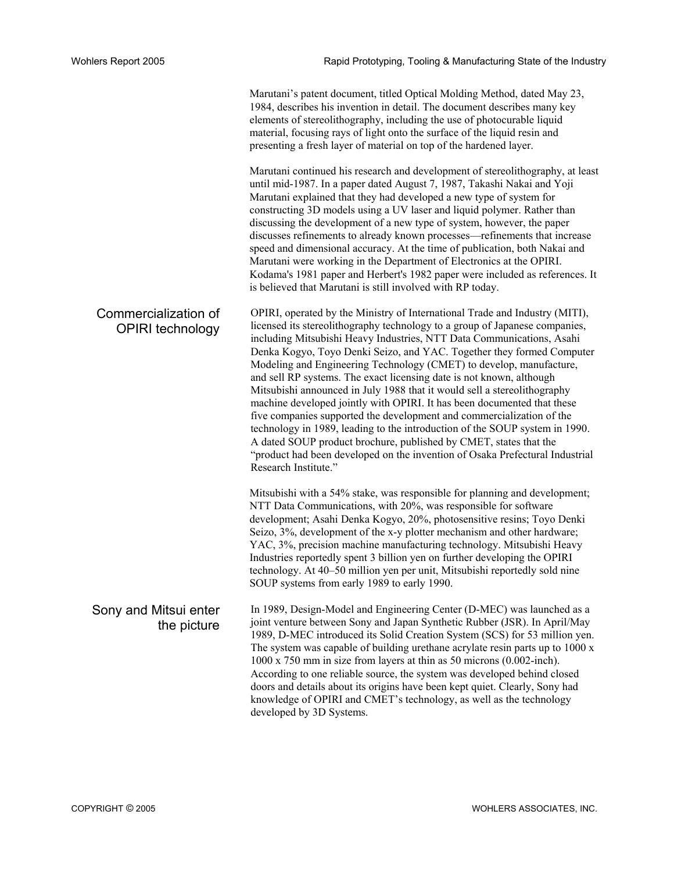Marutani's patent document, titled Optical Molding Method, dated May 23, 1984, describes his invention in detail. The document describes many key elements of stereolithography, including the use of photocurable liquid material, focusing rays of light onto the surface of the liquid resin and presenting a fresh layer of material on top of the hardened layer.

Marutani continued his research and development of stereolithography, at least until mid-1987. In a paper dated August 7, 1987, Takashi Nakai and Yoji Marutani explained that they had developed a new type of system for constructing 3D models using a UV laser and liquid polymer. Rather than discussing the development of a new type of system, however, the paper discusses refinements to already known processes—refinements that increase speed and dimensional accuracy. At the time of publication, both Nakai and Marutani were working in the Department of Electronics at the OPIRI. Kodama's 1981 paper and Herbert's 1982 paper were included as references. It is believed that Marutani is still involved with RP today.

Commercialization of OPIRI technology OPIRI, operated by the Ministry of International Trade and Industry (MITI), licensed its stereolithography technology to a group of Japanese companies, including Mitsubishi Heavy Industries, NTT Data Communications, Asahi Denka Kogyo, Toyo Denki Seizo, and YAC. Together they formed Computer Modeling and Engineering Technology (CMET) to develop, manufacture, and sell RP systems. The exact licensing date is not known, although Mitsubishi announced in July 1988 that it would sell a stereolithography machine developed jointly with OPIRI. It has been documented that these five companies supported the development and commercialization of the technology in 1989, leading to the introduction of the SOUP system in 1990. A dated SOUP product brochure, published by CMET, states that the "product had been developed on the invention of Osaka Prefectural Industrial Research Institute."

> Mitsubishi with a 54% stake, was responsible for planning and development; NTT Data Communications, with 20%, was responsible for software development; Asahi Denka Kogyo, 20%, photosensitive resins; Toyo Denki Seizo, 3%, development of the x-y plotter mechanism and other hardware; YAC, 3%, precision machine manufacturing technology. Mitsubishi Heavy Industries reportedly spent 3 billion yen on further developing the OPIRI technology. At 40–50 million yen per unit, Mitsubishi reportedly sold nine SOUP systems from early 1989 to early 1990.

Sony and Mitsui enter the picture In 1989, Design-Model and Engineering Center (D-MEC) was launched as a joint venture between Sony and Japan Synthetic Rubber (JSR). In April/May 1989, D-MEC introduced its Solid Creation System (SCS) for 53 million yen. The system was capable of building urethane acrylate resin parts up to 1000 x 1000 x 750 mm in size from layers at thin as 50 microns (0.002-inch). According to one reliable source, the system was developed behind closed doors and details about its origins have been kept quiet. Clearly, Sony had knowledge of OPIRI and CMET's technology, as well as the technology developed by 3D Systems.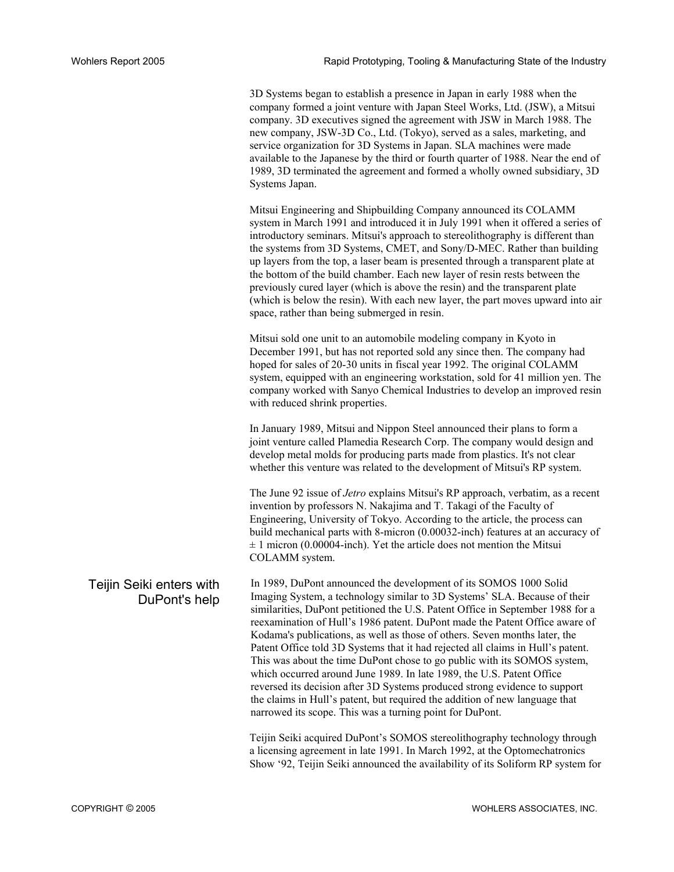3D Systems began to establish a presence in Japan in early 1988 when the company formed a joint venture with Japan Steel Works, Ltd. (JSW), a Mitsui company. 3D executives signed the agreement with JSW in March 1988. The new company, JSW-3D Co., Ltd. (Tokyo), served as a sales, marketing, and service organization for 3D Systems in Japan. SLA machines were made available to the Japanese by the third or fourth quarter of 1988. Near the end of 1989, 3D terminated the agreement and formed a wholly owned subsidiary, 3D Systems Japan.

Mitsui Engineering and Shipbuilding Company announced its COLAMM system in March 1991 and introduced it in July 1991 when it offered a series of introductory seminars. Mitsui's approach to stereolithography is different than the systems from 3D Systems, CMET, and Sony/D-MEC. Rather than building up layers from the top, a laser beam is presented through a transparent plate at the bottom of the build chamber. Each new layer of resin rests between the previously cured layer (which is above the resin) and the transparent plate (which is below the resin). With each new layer, the part moves upward into air space, rather than being submerged in resin.

Mitsui sold one unit to an automobile modeling company in Kyoto in December 1991, but has not reported sold any since then. The company had hoped for sales of 20-30 units in fiscal year 1992. The original COLAMM system, equipped with an engineering workstation, sold for 41 million yen. The company worked with Sanyo Chemical Industries to develop an improved resin with reduced shrink properties.

In January 1989, Mitsui and Nippon Steel announced their plans to form a joint venture called Plamedia Research Corp. The company would design and develop metal molds for producing parts made from plastics. It's not clear whether this venture was related to the development of Mitsui's RP system.

The June 92 issue of *Jetro* explains Mitsui's RP approach, verbatim, as a recent invention by professors N. Nakajima and T. Takagi of the Faculty of Engineering, University of Tokyo. According to the article, the process can build mechanical parts with 8-micron (0.00032-inch) features at an accuracy of  $\pm$  1 micron (0.00004-inch). Yet the article does not mention the Mitsui COLAMM system.

DuPont's help In 1989, DuPont announced the development of its SOMOS 1000 Solid Imaging System, a technology similar to 3D Systems' SLA. Because of their similarities, DuPont petitioned the U.S. Patent Office in September 1988 for a reexamination of Hull's 1986 patent. DuPont made the Patent Office aware of Kodama's publications, as well as those of others. Seven months later, the Patent Office told 3D Systems that it had rejected all claims in Hull's patent. This was about the time DuPont chose to go public with its SOMOS system, which occurred around June 1989. In late 1989, the U.S. Patent Office reversed its decision after 3D Systems produced strong evidence to support the claims in Hull's patent, but required the addition of new language that narrowed its scope. This was a turning point for DuPont.

> Teijin Seiki acquired DuPont's SOMOS stereolithography technology through a licensing agreement in late 1991. In March 1992, at the Optomechatronics Show '92, Teijin Seiki announced the availability of its Soliform RP system for

## Teijin Seiki enters with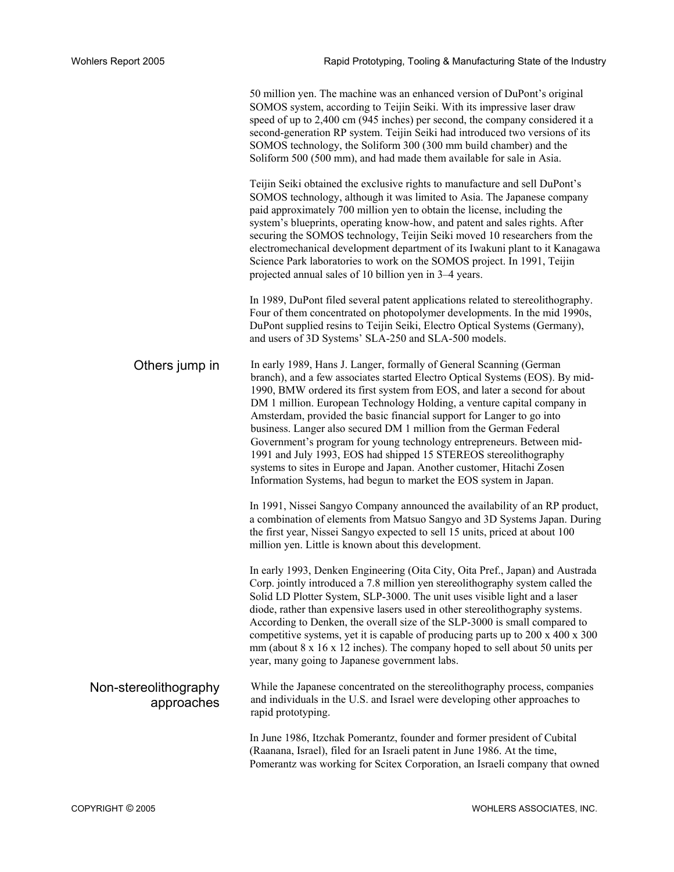|                                     | 50 million yen. The machine was an enhanced version of DuPont's original<br>SOMOS system, according to Teijin Seiki. With its impressive laser draw<br>speed of up to 2,400 cm (945 inches) per second, the company considered it a<br>second-generation RP system. Teijin Seiki had introduced two versions of its<br>SOMOS technology, the Soliform 300 (300 mm build chamber) and the<br>Soliform 500 (500 mm), and had made them available for sale in Asia.                                                                                                                                                                                                                                                                                      |
|-------------------------------------|-------------------------------------------------------------------------------------------------------------------------------------------------------------------------------------------------------------------------------------------------------------------------------------------------------------------------------------------------------------------------------------------------------------------------------------------------------------------------------------------------------------------------------------------------------------------------------------------------------------------------------------------------------------------------------------------------------------------------------------------------------|
|                                     | Teijin Seiki obtained the exclusive rights to manufacture and sell DuPont's<br>SOMOS technology, although it was limited to Asia. The Japanese company<br>paid approximately 700 million yen to obtain the license, including the<br>system's blueprints, operating know-how, and patent and sales rights. After<br>securing the SOMOS technology, Teijin Seiki moved 10 researchers from the<br>electromechanical development department of its Iwakuni plant to it Kanagawa<br>Science Park laboratories to work on the SOMOS project. In 1991, Teijin<br>projected annual sales of 10 billion yen in 3-4 years.                                                                                                                                    |
|                                     | In 1989, DuPont filed several patent applications related to stereolithography.<br>Four of them concentrated on photopolymer developments. In the mid 1990s,<br>DuPont supplied resins to Teijin Seiki, Electro Optical Systems (Germany),<br>and users of 3D Systems' SLA-250 and SLA-500 models.                                                                                                                                                                                                                                                                                                                                                                                                                                                    |
| Others jump in                      | In early 1989, Hans J. Langer, formally of General Scanning (German<br>branch), and a few associates started Electro Optical Systems (EOS). By mid-<br>1990, BMW ordered its first system from EOS, and later a second for about<br>DM 1 million. European Technology Holding, a venture capital company in<br>Amsterdam, provided the basic financial support for Langer to go into<br>business. Langer also secured DM 1 million from the German Federal<br>Government's program for young technology entrepreneurs. Between mid-<br>1991 and July 1993, EOS had shipped 15 STEREOS stereolithography<br>systems to sites in Europe and Japan. Another customer, Hitachi Zosen<br>Information Systems, had begun to market the EOS system in Japan. |
|                                     | In 1991, Nissei Sangyo Company announced the availability of an RP product,<br>a combination of elements from Matsuo Sangyo and 3D Systems Japan. During<br>the first year, Nissei Sangyo expected to sell 15 units, priced at about 100<br>million yen. Little is known about this development.                                                                                                                                                                                                                                                                                                                                                                                                                                                      |
|                                     | In early 1993, Denken Engineering (Oita City, Oita Pref., Japan) and Austrada<br>Corp. jointly introduced a 7.8 million yen stereolithography system called the<br>Solid LD Plotter System, SLP-3000. The unit uses visible light and a laser<br>diode, rather than expensive lasers used in other stereolithography systems.<br>According to Denken, the overall size of the SLP-3000 is small compared to<br>competitive systems, yet it is capable of producing parts up to 200 x 400 x 300<br>mm (about 8 x 16 x 12 inches). The company hoped to sell about 50 units per<br>year, many going to Japanese government labs.                                                                                                                        |
| Non-stereolithography<br>approaches | While the Japanese concentrated on the stereolithography process, companies<br>and individuals in the U.S. and Israel were developing other approaches to<br>rapid prototyping.                                                                                                                                                                                                                                                                                                                                                                                                                                                                                                                                                                       |
|                                     | In June 1986, Itzchak Pomerantz, founder and former president of Cubital<br>(Raanana, Israel), filed for an Israeli patent in June 1986. At the time,<br>Pomerantz was working for Scitex Corporation, an Israeli company that owned                                                                                                                                                                                                                                                                                                                                                                                                                                                                                                                  |